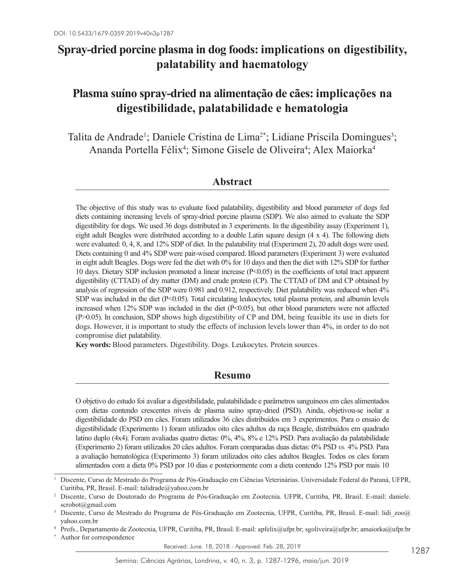# **Spray-dried porcine plasma in dog foods: implications on digestibility, palatability and haematology**

# **Plasma suíno spray-dried na alimentação de cães: implicações na digestibilidade, palatabilidade e hematologia**

Talita de Andrade<sup>1</sup>; Daniele Cristina de Lima<sup>2\*</sup>; Lidiane Priscila Domingues<sup>3</sup>; Ananda Portella Félix<sup>4</sup>; Simone Gisele de Oliveira<sup>4</sup>; Alex Maiorka<sup>4</sup>

# **Abstract**

The objective of this study was to evaluate food palatability, digestibility and blood parameter of dogs fed diets containing increasing levels of spray-dried porcine plasma (SDP). We also aimed to evaluate the SDP digestibility for dogs. We used 36 dogs distributed in 3 experiments. In the digestibility assay (Experiment 1), eight adult Beagles were distributed according to a double Latin square design (4 x 4). The following diets were evaluated: 0, 4, 8, and 12% SDP of diet. In the palatability trial (Experiment 2), 20 adult dogs were used. Diets containing 0 and 4% SDP were pair-wised compared. Blood parameters (Experiment 3) were evaluated in eight adult Beagles. Dogs were fed the diet with 0% for 10 days and then the diet with 12% SDP for further 10 days. Dietary SDP inclusion promoted a linear increase (P<0.05) in the coefficients of total tract apparent digestibility (CTTAD) of dry matter (DM) and crude protein (CP). The CTTAD of DM and CP obtained by analysis of regression of the SDP were 0.981 and 0.912, respectively. Diet palatability was reduced when 4% SDP was included in the diet (P<0.05). Total circulating leukocytes, total plasma protein, and albumin levels increased when 12% SDP was included in the diet (P<0.05), but other blood parameters were not affected (P>0.05). In conclusion, SDP shows high digestibility of CP and DM, being feasible its use in diets for dogs. However, it is important to study the effects of inclusion levels lower than 4%, in order to do not compromise diet palatability.

**Key words:** Blood parameters. Digestibility. Dogs. Leukocytes. Protein sources.

# **Resumo**

O objetivo do estudo foi avaliar a digestibilidade, palatabilidade e parâmetros sanguíneos em cães alimentados com dietas contendo crescentes níveis de plasma suíno spray-dried (PSD). Ainda, objetivou-se isolar a digestibilidade do PSD em cães. Foram utilizados 36 cães distribuídos em 3 experimentos. Para o ensaio de digestibilidade (Experimento 1) foram utilizados oito cães adultos da raça Beagle, distribuídos em quadrado latino duplo (4x4). Foram avaliadas quatro dietas: 0%, 4%, 8% e 12% PSD. Para avaliação da palatabilidade (Experimento 2) foram utilizados 20 cães adultos. Foram comparadas duas dietas: 0% PSD *vs.* 4% PSD. Para a avaliação hematológica (Experimento 3) foram utilizados oito cães adultos Beagles. Todos os cães foram alimentados com a dieta 0% PSD por 10 dias e posteriormente com a dieta contendo 12% PSD por mais 10

Received: June. 18, 2018 - Approved: Feb. 28, 2019

<sup>1</sup> Discente, Curso de Mestrado do Programa de Pós-Graduação em Ciências Veterinárias. Universidade Federal do Paraná, UFPR, Curitiba, PR, Brasil. E-mail: talidrade@yahoo.com.br

<sup>2</sup> Discente, Curso de Doutorado do Programa de Pós-Graduação em Zootecnia. UFPR, Curitiba, PR, Brasil. E-mail: daniele. scrobot@gmail.com

<sup>&</sup>lt;sup>3</sup> Discente, Curso de Mestrado do Programa de Pós-Graduação em Zootecnia, UFPR, Curitiba, PR, Brasil. E-mail: lidi zoo@ yahoo.com.br

<sup>4</sup> Profs., Departamento de Zootecnia, UFPR, Curitiba, PR, Brasil. E-mail: apfelix@ufpr.br; sgoliveira@ufpr.br; amaiorka@ufpr.br

Author for correspondence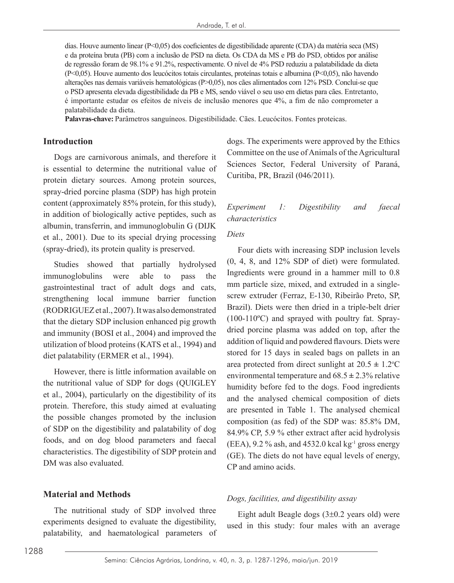dias. Houve aumento linear (P<0,05) dos coeficientes de digestibilidade aparente (CDA) da matéria seca (MS) e da proteína bruta (PB) com a inclusão de PSD na dieta. Os CDA da MS e PB do PSD, obtidos por análise de regressão foram de 98.1% e 91.2%, respectivamente. O nível de 4% PSD reduziu a palatabilidade da dieta (P<0,05). Houve aumento dos leucócitos totais circulantes, proteínas totais e albumina (P<0,05), não havendo alterações nas demais variáveis hematológicas (P>0,05), nos cães alimentados com 12% PSD. Conclui-se que o PSD apresenta elevada digestibilidade da PB e MS, sendo viável o seu uso em dietas para cães. Entretanto, é importante estudar os efeitos de níveis de inclusão menores que 4%, a fim de não comprometer a palatabilidade da dieta.

**Palavras-chave:** Parâmetros sanguíneos. Digestibilidade. Cães. Leucócitos. Fontes proteicas.

#### **Introduction**

Dogs are carnivorous animals, and therefore it is essential to determine the nutritional value of protein dietary sources. Among protein sources, spray-dried porcine plasma (SDP) has high protein content (approximately 85% protein, for this study), in addition of biologically active peptides, such as albumin, transferrin, and immunoglobulin G (DIJK et al., 2001). Due to its special drying processing (spray-dried), its protein quality is preserved.

Studies showed that partially hydrolysed immunoglobulins were able to pass the gastrointestinal tract of adult dogs and cats, strengthening local immune barrier function (RODRIGUEZ et al., 2007). It was also demonstrated that the dietary SDP inclusion enhanced pig growth and immunity (BOSI et al., 2004) and improved the utilization of blood proteins (KATS et al., 1994) and diet palatability (ERMER et al., 1994).

However, there is little information available on the nutritional value of SDP for dogs (QUIGLEY et al., 2004), particularly on the digestibility of its protein. Therefore, this study aimed at evaluating the possible changes promoted by the inclusion of SDP on the digestibility and palatability of dog foods, and on dog blood parameters and faecal characteristics. The digestibility of SDP protein and DM was also evaluated.

### **Material and Methods**

The nutritional study of SDP involved three experiments designed to evaluate the digestibility, palatability, and haematological parameters of

dogs. The experiments were approved by the Ethics Committee on the use of Animals of the Agricultural Sciences Sector, Federal University of Paraná, Curitiba, PR, Brazil (046/2011).

# *Experiment 1: Digestibility and faecal characteristics*

#### *Diets*

Four diets with increasing SDP inclusion levels (0, 4, 8, and 12% SDP of diet) were formulated. Ingredients were ground in a hammer mill to 0.8 mm particle size, mixed, and extruded in a singlescrew extruder (Ferraz, E-130, Ribeirão Preto, SP, Brazil). Diets were then dried in a triple-belt drier (100-110ºC) and sprayed with poultry fat. Spraydried porcine plasma was added on top, after the addition of liquid and powdered flavours. Diets were stored for 15 days in sealed bags on pallets in an area protected from direct sunlight at  $20.5 \pm 1.2$ <sup>o</sup>C environmental temperature and  $68.5 \pm 2.3\%$  relative humidity before fed to the dogs. Food ingredients and the analysed chemical composition of diets are presented in Table 1. The analysed chemical composition (as fed) of the SDP was: 85.8% DM, 84.9% CP, 5.9 % ether extract after acid hydrolysis (EEA),  $9.2\%$  ash, and  $4532.0$  kcal kg<sup>-1</sup> gross energy (GE). The diets do not have equal levels of energy, CP and amino acids.

#### *Dogs, facilities, and digestibility assay*

Eight adult Beagle dogs (3±0.2 years old) were used in this study: four males with an average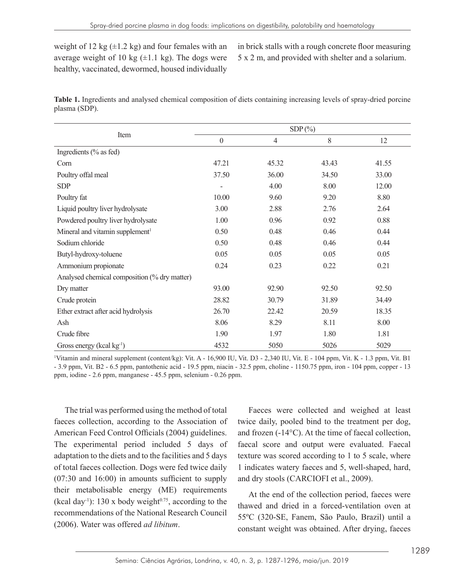weight of 12 kg  $(\pm 1.2 \text{ kg})$  and four females with an average weight of 10 kg  $(\pm 1.1 \text{ kg})$ . The dogs were healthy, vaccinated, dewormed, housed individually in brick stalls with a rough concrete floor measuring 5 x 2 m, and provided with shelter and a solarium.

| Table 1. Ingredients and analysed chemical composition of diets containing increasing levels of spray-dried porcine |  |  |  |  |  |
|---------------------------------------------------------------------------------------------------------------------|--|--|--|--|--|
| plasma (SDP).                                                                                                       |  |  |  |  |  |

|                                              | $SDP(\% )$       |                |       |       |  |  |
|----------------------------------------------|------------------|----------------|-------|-------|--|--|
| Item                                         | $\boldsymbol{0}$ | $\overline{4}$ | 8     | 12    |  |  |
| Ingredients (% as fed)                       |                  |                |       |       |  |  |
| Corn                                         | 47.21            | 45.32          | 43.43 | 41.55 |  |  |
| Poultry offal meal                           | 37.50            | 36.00          | 34.50 | 33.00 |  |  |
| <b>SDP</b>                                   |                  | 4.00           | 8.00  | 12.00 |  |  |
| Poultry fat                                  | 10.00            | 9.60           | 9.20  | 8.80  |  |  |
| Liquid poultry liver hydrolysate             | 3.00             | 2.88           | 2.76  | 2.64  |  |  |
| Powdered poultry liver hydrolysate           | 1.00             | 0.96           | 0.92  | 0.88  |  |  |
| Mineral and vitamin supplement <sup>1</sup>  | 0.50             | 0.48           | 0.46  | 0.44  |  |  |
| Sodium chloride                              | 0.50             | 0.48           | 0.46  | 0.44  |  |  |
| Butyl-hydroxy-toluene                        | 0.05             | 0.05           | 0.05  | 0.05  |  |  |
| Ammonium propionate                          | 0.24             | 0.23           | 0.22  | 0.21  |  |  |
| Analysed chemical composition (% dry matter) |                  |                |       |       |  |  |
| Dry matter                                   | 93.00            | 92.90          | 92.50 | 92.50 |  |  |
| Crude protein                                | 28.82            | 30.79          | 31.89 | 34.49 |  |  |
| Ether extract after acid hydrolysis          | 26.70            | 22.42          | 20.59 | 18.35 |  |  |
| Ash                                          | 8.06             | 8.29           | 8.11  | 8.00  |  |  |
| Crude fibre                                  | 1.90             | 1.97           | 1.80  | 1.81  |  |  |
| Gross energy (kcal $kg^{-1}$ )               | 4532             | 5050           | 5026  | 5029  |  |  |

Vitamin and mineral supplement (content/kg): Vit. A - 16,900 IU, Vit. D3 - 2,340 IU, Vit. E - 104 ppm, Vit. K - 1.3 ppm, Vit. B1 - 3.9 ppm, Vit. B2 - 6.5 ppm, pantothenic acid - 19.5 ppm, niacin - 32.5 ppm, choline - 1150.75 ppm, iron - 104 ppm, copper - 13 ppm, iodine - 2.6 ppm, manganese - 45.5 ppm, selenium - 0.26 ppm.

The trial was performed using the method of total faeces collection, according to the Association of American Feed Control Officials (2004) guidelines. The experimental period included 5 days of adaptation to the diets and to the facilities and 5 days of total faeces collection. Dogs were fed twice daily (07:30 and 16:00) in amounts sufficient to supply their metabolisable energy (ME) requirements (kcal day<sup>-1</sup>): 130 x body weight<sup> $0.75$ </sup>, according to the recommendations of the National Research Council (2006). Water was offered *ad libitum*.

Faeces were collected and weighed at least twice daily, pooled bind to the treatment per dog, and frozen (-14°C). At the time of faecal collection, faecal score and output were evaluated. Faecal texture was scored according to 1 to 5 scale, where 1 indicates watery faeces and 5, well-shaped, hard, and dry stools (CARCIOFI et al., 2009).

At the end of the collection period, faeces were thawed and dried in a forced-ventilation oven at 55ºC (320-SE, Fanem, São Paulo, Brazil) until a constant weight was obtained. After drying, faeces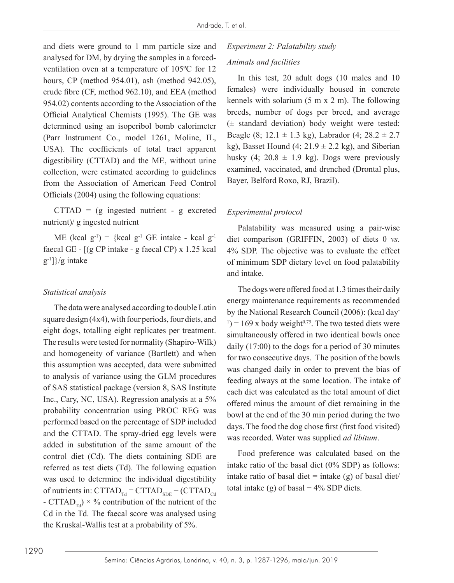and diets were ground to 1 mm particle size and analysed for DM, by drying the samples in a forcedventilation oven at a temperature of 105ºC for 12 hours, CP (method 954.01), ash (method 942.05), crude fibre (CF, method 962.10), and EEA (method 954.02) contents according to the Association of the Official Analytical Chemists (1995). The GE was determined using an isoperibol bomb calorimeter (Parr Instrument Co., model 1261, Moline, IL, USA). The coefficients of total tract apparent digestibility (CTTAD) and the ME, without urine collection, were estimated according to guidelines from the Association of American Feed Control Officials (2004) using the following equations:

 $CTTAD = (g \text{ ingested nutrient} - g \text{ exerted}$ nutrient)/ g ingested nutrient

ME (kcal  $g^{-1}$ ) = {kcal  $g^{-1}$  GE intake - kcal  $g^{-1}$ faecal GE - [(g CP intake - g faecal CP) x 1.25 kcal  $g^{-1}$ ]}/g intake

#### *Statistical analysis*

The data were analysed according to double Latin square design (4x4), with four periods, four diets, and eight dogs, totalling eight replicates per treatment. The results were tested for normality (Shapiro-Wilk) and homogeneity of variance (Bartlett) and when this assumption was accepted, data were submitted to analysis of variance using the GLM procedures of SAS statistical package (version 8, SAS Institute Inc., Cary, NC, USA). Regression analysis at a 5% probability concentration using PROC REG was performed based on the percentage of SDP included and the CTTAD. The spray-dried egg levels were added in substitution of the same amount of the control diet (Cd). The diets containing SDE are referred as test diets (Td). The following equation was used to determine the individual digestibility of nutrients in:  $\text{CTTAD}_{\text{rd}} = \text{CTTAD}_{\text{SDE}} + (\text{CTTAD}_{\text{Cd}})$ - CTTAD<sub>Td</sub>)  $\times$  % contribution of the nutrient of the Cd in the Td. The faecal score was analysed using the Kruskal-Wallis test at a probability of 5%.

# *Experiment 2: Palatability study Animals and facilities*

In this test, 20 adult dogs (10 males and 10 females) were individually housed in concrete kennels with solarium  $(5 \text{ m x 2 m})$ . The following breeds, number of dogs per breed, and average (± standard deviation) body weight were tested: Beagle (8; 12.1  $\pm$  1.3 kg), Labrador (4; 28.2  $\pm$  2.7 kg), Basset Hound  $(4; 21.9 \pm 2.2 \text{ kg})$ , and Siberian husky  $(4; 20.8 \pm 1.9 \text{ kg})$ . Dogs were previously examined, vaccinated, and drenched (Drontal plus, Bayer, Belford Roxo, RJ, Brazil).

#### *Experimental protocol*

Palatability was measured using a pair-wise diet comparison (GRIFFIN, 2003) of diets 0 *vs*. 4% SDP. The objective was to evaluate the effect of minimum SDP dietary level on food palatability and intake.

The dogs were offered food at 1.3 times their daily energy maintenance requirements as recommended by the National Research Council (2006): (kcal day- $(1)$  = 169 x body weight<sup>0.75</sup>. The two tested diets were simultaneously offered in two identical bowls once daily (17:00) to the dogs for a period of 30 minutes for two consecutive days. The position of the bowls was changed daily in order to prevent the bias of feeding always at the same location. The intake of each diet was calculated as the total amount of diet offered minus the amount of diet remaining in the bowl at the end of the 30 min period during the two days. The food the dog chose first (first food visited) was recorded. Water was supplied *ad libitum*.

Food preference was calculated based on the intake ratio of the basal diet (0% SDP) as follows: intake ratio of basal diet  $=$  intake (g) of basal diet/ total intake (g) of basal  $+4\%$  SDP diets.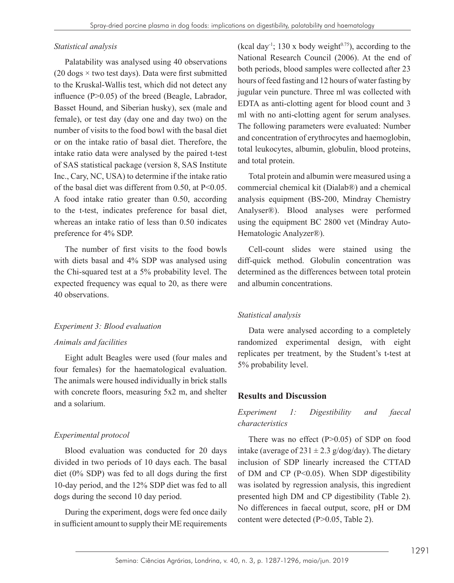#### *Statistical analysis*

Palatability was analysed using 40 observations (20 dogs  $\times$  two test days). Data were first submitted to the Kruskal-Wallis test, which did not detect any influence (P>0.05) of the breed (Beagle, Labrador, Basset Hound, and Siberian husky), sex (male and female), or test day (day one and day two) on the number of visits to the food bowl with the basal diet or on the intake ratio of basal diet. Therefore, the intake ratio data were analysed by the paired t-test of SAS statistical package (version 8, SAS Institute Inc., Cary, NC, USA) to determine if the intake ratio of the basal diet was different from 0.50, at P<0.05. A food intake ratio greater than 0.50, according to the t-test, indicates preference for basal diet, whereas an intake ratio of less than 0.50 indicates preference for 4% SDP.

The number of first visits to the food bowls with diets basal and 4% SDP was analysed using the Chi-squared test at a 5% probability level. The expected frequency was equal to 20, as there were 40 observations.

### *Experiment 3: Blood evaluation*

#### *Animals and facilities*

Eight adult Beagles were used (four males and four females) for the haematological evaluation. The animals were housed individually in brick stalls with concrete floors, measuring 5x2 m, and shelter and a solarium.

### *Experimental protocol*

Blood evaluation was conducted for 20 days divided in two periods of 10 days each. The basal diet (0% SDP) was fed to all dogs during the first 10-day period, and the 12% SDP diet was fed to all dogs during the second 10 day period.

During the experiment, dogs were fed once daily in sufficient amount to supply their ME requirements (kcal day<sup>-1</sup>; 130 x body weight<sup> $0.75$ </sup>), according to the National Research Council (2006). At the end of both periods, blood samples were collected after 23 hours of feed fasting and 12 hours of water fasting by jugular vein puncture. Three ml was collected with EDTA as anti-clotting agent for blood count and 3 ml with no anti-clotting agent for serum analyses. The following parameters were evaluated: Number and concentration of erythrocytes and haemoglobin, total leukocytes, albumin, globulin, blood proteins, and total protein.

Total protein and albumin were measured using a commercial chemical kit (Dialab®) and a chemical analysis equipment (BS-200, Mindray Chemistry Analyser®). Blood analyses were performed using the equipment BC 2800 vet (Mindray Auto-Hematologic Analyzer®).

Cell-count slides were stained using the diff-quick method. Globulin concentration was determined as the differences between total protein and albumin concentrations.

### *Statistical analysis*

Data were analysed according to a completely randomized experimental design, with eight replicates per treatment, by the Student's t-test at 5% probability level.

# **Results and Discussion**

# *Experiment 1: Digestibility and faecal characteristics*

There was no effect  $(P>0.05)$  of SDP on food intake (average of  $231 \pm 2.3$  g/dog/day). The dietary inclusion of SDP linearly increased the CTTAD of DM and CP (P<0.05). When SDP digestibility was isolated by regression analysis, this ingredient presented high DM and CP digestibility (Table 2). No differences in faecal output, score, pH or DM content were detected (P>0.05, Table 2).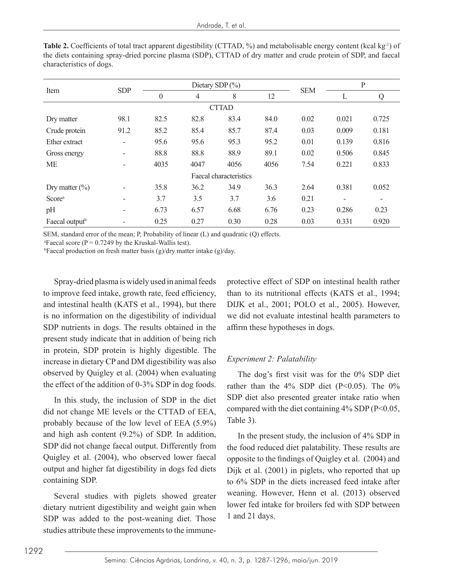|                            | <b>SDP</b>               | Dietary SDP $(\% )$ |      |                        |      | $\mathbf{P}$ |       |       |
|----------------------------|--------------------------|---------------------|------|------------------------|------|--------------|-------|-------|
| Item                       |                          | $\boldsymbol{0}$    | 4    | 8                      | 12   | <b>SEM</b>   | L     | Q     |
|                            |                          |                     |      | <b>CTTAD</b>           |      |              |       |       |
| Dry matter                 | 98.1                     | 82.5                | 82.8 | 83.4                   | 84.0 | 0.02         | 0.021 | 0.725 |
| Crude protein              | 91.2                     | 85.2                | 85.4 | 85.7                   | 87.4 | 0.03         | 0.009 | 0.181 |
| Ether extract              | $\overline{\phantom{0}}$ | 95.6                | 95.6 | 95.3                   | 95.2 | 0.01         | 0.139 | 0.816 |
| Gross energy               | -                        | 88.8                | 88.8 | 88.9                   | 89.1 | 0.02         | 0.506 | 0.845 |
| ME                         |                          | 4035                | 4047 | 4056                   | 4056 | 7.54         | 0.221 | 0.833 |
|                            |                          |                     |      | Faecal characteristics |      |              |       |       |
| Dry matter $(\% )$         |                          | 35.8                | 36.2 | 34.9                   | 36.3 | 2.64         | 0.381 | 0.052 |
| Score <sup>a</sup>         |                          | 3.7                 | 3.5  | 3.7                    | 3.6  | 0.21         |       |       |
| pH                         | -                        | 6.73                | 6.57 | 6.68                   | 6.76 | 0.23         | 0.286 | 0.23  |
| Faecal output <sup>b</sup> |                          | 0.25                | 0.27 | 0.30                   | 0.28 | 0.03         | 0.331 | 0.920 |

**Table 2.** Coefficients of total tract apparent digestibility (CTTAD, %) and metabolisable energy content (kcal kg<sup>-1</sup>) of the diets containing spray-dried porcine plasma (SDP), CTTAD of dry matter and crude protein of SDP, and faecal characteristics of dogs.

SEM, standard error of the mean; P, Probability of linear (L) and quadratic (Q) effects.

<sup>a</sup>Faecal score ( $P = 0.7249$  by the Kruskal-Wallis test).

 $b$ Faecal production on fresh matter basis (g)/dry matter intake (g)/day.

Spray-dried plasma is widely used in animal feeds to improve feed intake, growth rate, feed efficiency, and intestinal health (KATS et al., 1994), but there is no information on the digestibility of individual SDP nutrients in dogs. The results obtained in the present study indicate that in addition of being rich in protein, SDP protein is highly digestible. The increase in dietary CP and DM digestibility was also observed by Quigley et al. (2004) when evaluating the effect of the addition of 0-3% SDP in dog foods.

In this study, the inclusion of SDP in the diet did not change ME levels or the CTTAD of EEA, probably because of the low level of EEA (5.9%) and high ash content (9.2%) of SDP. In addition, SDP did not change faecal output. Differently from Quigley et al. (2004), who observed lower faecal output and higher fat digestibility in dogs fed diets containing SDP.

Several studies with piglets showed greater dietary nutrient digestibility and weight gain when SDP was added to the post-weaning diet. Those studies attribute these improvements to the immuneprotective effect of SDP on intestinal health rather than to its nutritional effects (KATS et al., 1994; DIJK et al., 2001; POLO et al., 2005). However, we did not evaluate intestinal health parameters to affirm these hypotheses in dogs.

#### *Experiment 2: Palatability*

The dog's first visit was for the 0% SDP diet rather than the  $4\%$  SDP diet (P<0.05). The 0% SDP diet also presented greater intake ratio when compared with the diet containing  $4\%$  SDP (P<0.05, Table 3).

In the present study, the inclusion of 4% SDP in the food reduced diet palatability. These results are opposite to the findings of Quigley et al. (2004) and Dijk et al. (2001) in piglets, who reported that up to 6% SDP in the diets increased feed intake after weaning. However, Henn et al. (2013) observed lower fed intake for broilers fed with SDP between 1 and 21 days.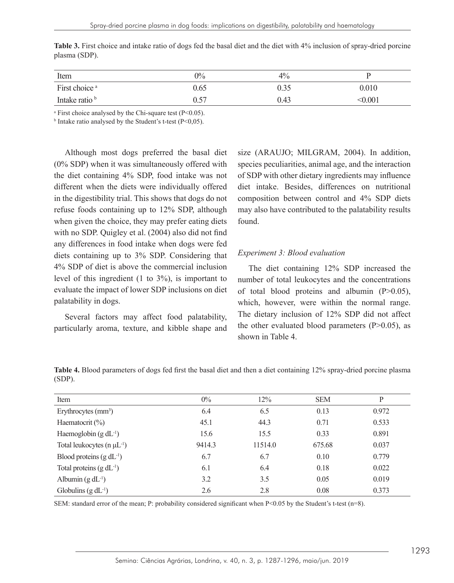| Item                      | $0\%$ | 4%   |         |
|---------------------------|-------|------|---------|
| First choice <sup>a</sup> | 0.65  | 0.35 | 0.010   |
| Intake ratio b            | 0.57  | 0.43 | < 0.001 |

**Table 3.** First choice and intake ratio of dogs fed the basal diet and the diet with 4% inclusion of spray-dried porcine plasma (SDP).

a First choice analysed by the Chi-square test (P<0.05).

<sup>b</sup> Intake ratio analysed by the Student's t-test  $(P<0.05)$ .

Although most dogs preferred the basal diet (0% SDP) when it was simultaneously offered with the diet containing 4% SDP, food intake was not different when the diets were individually offered in the digestibility trial. This shows that dogs do not refuse foods containing up to 12% SDP, although when given the choice, they may prefer eating diets with no SDP. Quigley et al. (2004) also did not find any differences in food intake when dogs were fed diets containing up to 3% SDP. Considering that 4% SDP of diet is above the commercial inclusion level of this ingredient (1 to 3%), is important to evaluate the impact of lower SDP inclusions on diet palatability in dogs.

Several factors may affect food palatability, particularly aroma, texture, and kibble shape and size (ARAUJO; MILGRAM, 2004). In addition, species peculiarities, animal age, and the interaction of SDP with other dietary ingredients may influence diet intake. Besides, differences on nutritional composition between control and 4% SDP diets may also have contributed to the palatability results found.

#### *Experiment 3: Blood evaluation*

The diet containing 12% SDP increased the number of total leukocytes and the concentrations of total blood proteins and albumin  $(P>0.05)$ , which, however, were within the normal range. The dietary inclusion of 12% SDP did not affect the other evaluated blood parameters  $(P>0.05)$ , as shown in Table 4.

**Table 4.** Blood parameters of dogs fed first the basal diet and then a diet containing 12% spray-dried porcine plasma (SDP).

| Item                                | $0\%$  | 12%     | <b>SEM</b> | P     |
|-------------------------------------|--------|---------|------------|-------|
| Erythrocytes $\text{(mm}^3)$        | 6.4    | 6.5     | 0.13       | 0.972 |
| Haematocrit $(\%)$                  | 45.1   | 44.3    | 0.71       | 0.533 |
| Haemoglobin $(g dL-1)$              | 15.6   | 15.5    | 0.33       | 0.891 |
| Total leukocytes ( $n \mu L^{-1}$ ) | 9414.3 | 11514.0 | 675.68     | 0.037 |
| Blood proteins $(g dL^{-1})$        | 6.7    | 6.7     | 0.10       | 0.779 |
| Total proteins $(g dL^{-1})$        | 6.1    | 6.4     | 0.18       | 0.022 |
| Albumin $(g dL^{-1})$               | 3.2    | 3.5     | 0.05       | 0.019 |
| Globulins $(g dL^{-1})$             | 2.6    | 2.8     | 0.08       | 0.373 |

SEM: standard error of the mean; P: probability considered significant when P<0.05 by the Student's t-test (n=8).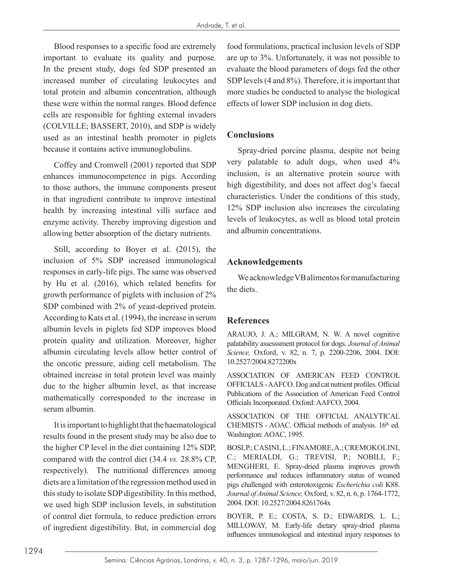Blood responses to a specific food are extremely important to evaluate its quality and purpose. In the present study, dogs fed SDP presented an increased number of circulating leukocytes and total protein and albumin concentration, although these were within the normal ranges. Blood defence cells are responsible for fighting external invaders (COLVILLE; BASSERT, 2010), and SDP is widely used as an intestinal health promoter in piglets because it contains active immunoglobulins.

Coffey and Cromwell (2001) reported that SDP enhances immunocompetence in pigs. According to those authors, the immune components present in that ingredient contribute to improve intestinal health by increasing intestinal villi surface and enzyme activity. Thereby improving digestion and allowing better absorption of the dietary nutrients.

Still, according to Boyer et al. (2015), the inclusion of 5% SDP increased immunological responses in early-life pigs. The same was observed by Hu et al. (2016), which related benefits for growth performance of piglets with inclusion of 2% SDP combined with 2% of yeast-deprived protein. According to Kats et al. (1994), the increase in serum albumin levels in piglets fed SDP improves blood protein quality and utilization. Moreover, higher albumin circulating levels allow better control of the oncotic pressure, aiding cell metabolism. The obtained increase in total protein level was mainly due to the higher albumin level, as that increase mathematically corresponded to the increase in serum albumin.

It is important to highlight that the haematological results found in the present study may be also due to the higher CP level in the diet containing 12% SDP, compared with the control diet (34.4 *vs.* 28.8% CP, respectively). The nutritional differences among diets are a limitation of the regression method used in this study to isolate SDP digestibility. In this method, we used high SDP inclusion levels, in substitution of control diet formula, to reduce prediction errors of ingredient digestibility. But, in commercial dog food formulations, practical inclusion levels of SDP are up to 3%. Unfortunately, it was not possible to evaluate the blood parameters of dogs fed the other SDP levels (4 and 8%). Therefore, it is important that more studies be conducted to analyse the biological effects of lower SDP inclusion in dog diets.

## **Conclusions**

Spray-dried porcine plasma, despite not being very palatable to adult dogs, when used 4% inclusion, is an alternative protein source with high digestibility, and does not affect dog's faecal characteristics. Under the conditions of this study, 12% SDP inclusion also increases the circulating levels of leukocytes, as well as blood total protein and albumin concentrations.

## **Acknowledgements**

We acknowledge VB alimentos for manufacturing the diets.

# **References**

ARAUJO, J. A.; MILGRAM, N. W. A novel cognitive palatability assesssment protocol for dogs. *Journal of Animal Science,* Oxford, v. 82, n. 7, p. 2200-2206, 2004. DOI: 10.2527/2004.8272200x

ASSOCIATION OF AMERICAN FEED CONTROL OFFICIALS - AAFCO. Dog and cat nutrient profiles. Official Publications of the Association of American Feed Control Officials Incorporated. Oxford: AAFCO, 2004.

ASSOCIATION OF THE OFFICIAL ANALYTICAL CHEMISTS - AOAC. Official methods of analysis.  $16<sup>th</sup>$  ed. Washington: AOAC, 1995.

BOSI, P.; CASINI, L.; FINAMORE, A.; CREMOKOLINI, C.; MERIALDI, G.; TREVISI, P.; NOBILI, F.; MENGHERI, E. Spray-dried plasma improves growth performance and reduces inflammatory status of weaned pigs challenged with enterotoxigenic *Escherichia coli* K88. *Journal of Animal Science,* Oxford, v. 82, n. 6, p. 1764-1772, 2004. DOI: 10.2527/2004.8261764x

BOYER, P. E.; COSTA, S. D.; EDWARDS, L. L.; MILLOWAY, M. Early-life dietary spray-dried plasma influences immunological and intestinal injury responses to